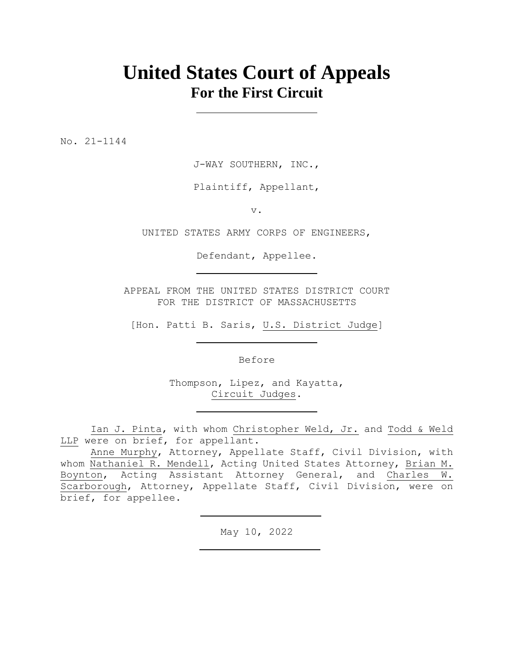## **United States Court of Appeals For the First Circuit**

No. 21-1144

J-WAY SOUTHERN, INC.,

Plaintiff, Appellant,

v.

UNITED STATES ARMY CORPS OF ENGINEERS,

Defendant, Appellee.

APPEAL FROM THE UNITED STATES DISTRICT COURT FOR THE DISTRICT OF MASSACHUSETTS

[Hon. Patti B. Saris, U.S. District Judge]

Before

Thompson, Lipez, and Kayatta, Circuit Judges.

Ian J. Pinta, with whom Christopher Weld, Jr. and Todd & Weld LLP were on brief, for appellant.

Anne Murphy, Attorney, Appellate Staff, Civil Division, with whom Nathaniel R. Mendell, Acting United States Attorney, Brian M. Boynton, Acting Assistant Attorney General, and Charles W. Scarborough, Attorney, Appellate Staff, Civil Division, were on brief, for appellee.

May 10, 2022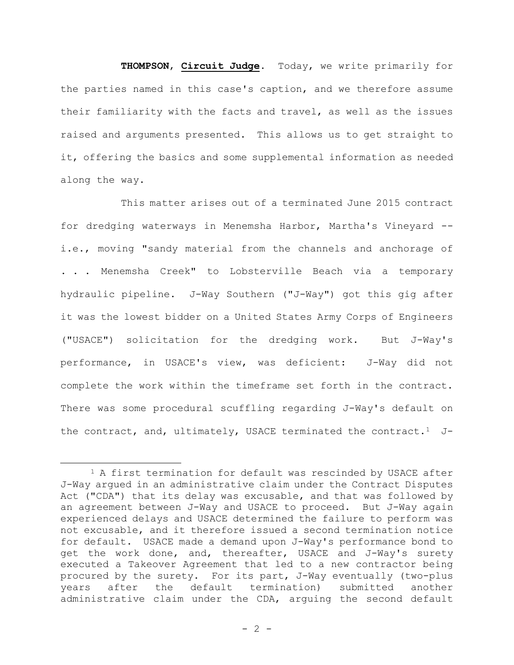# **THOMPSON**, **Circuit Judge**. Today, we write primarily for the parties named in this case's caption, and we therefore assume their familiarity with the facts and travel, as well as the issues raised and arguments presented. This allows us to get straight to it, offering the basics and some supplemental information as needed along the way.

This matter arises out of a terminated June 2015 contract for dredging waterways in Menemsha Harbor, Martha's Vineyard - i.e., moving "sandy material from the channels and anchorage of . . . Menemsha Creek" to Lobsterville Beach via a temporary hydraulic pipeline. J-Way Southern ("J-Way") got this gig after it was the lowest bidder on a United States Army Corps of Engineers ("USACE") solicitation for the dredging work. But J-Way's performance, in USACE's view, was deficient: J-Way did not complete the work within the timeframe set forth in the contract. There was some procedural scuffling regarding J-Way's default on the contract, and, ultimately, USACE terminated the contract.<sup>1</sup> J-

<sup>&</sup>lt;sup>1</sup> A first termination for default was rescinded by USACE after J-Way argued in an administrative claim under the Contract Disputes Act ("CDA") that its delay was excusable, and that was followed by an agreement between J-Way and USACE to proceed. But J-Way again experienced delays and USACE determined the failure to perform was not excusable, and it therefore issued a second termination notice for default. USACE made a demand upon J-Way's performance bond to get the work done, and, thereafter, USACE and J-Way's surety executed a Takeover Agreement that led to a new contractor being procured by the surety. For its part, J-Way eventually (two-plus years after the default termination) submitted another administrative claim under the CDA, arguing the second default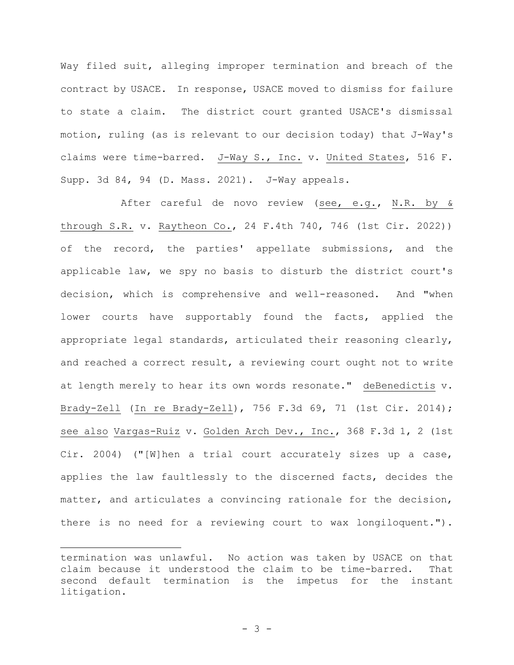Way filed suit, alleging improper termination and breach of the contract by USACE. In response, USACE moved to dismiss for failure to state a claim. The district court granted USACE's dismissal motion, ruling (as is relevant to our decision today) that J-Way's claims were time-barred. J-Way S., Inc. v. United States, 516 F. Supp. 3d 84, 94 (D. Mass. 2021). J-Way appeals.

After careful de novo review (see, e.g., N.R. by & through S.R. v. Raytheon Co., 24 F.4th 740, 746 (1st Cir. 2022)) of the record, the parties' appellate submissions, and the applicable law, we spy no basis to disturb the district court's decision, which is comprehensive and well-reasoned. And "when lower courts have supportably found the facts, applied the appropriate legal standards, articulated their reasoning clearly, and reached a correct result, a reviewing court ought not to write at length merely to hear its own words resonate." deBenedictis v. Brady-Zell (In re Brady-Zell), 756 F.3d 69, 71 (1st Cir. 2014); see also Vargas-Ruiz v. Golden Arch Dev., Inc., 368 F.3d 1, 2 (1st Cir. 2004) ("[W]hen a trial court accurately sizes up a case, applies the law faultlessly to the discerned facts, decides the matter, and articulates a convincing rationale for the decision, there is no need for a reviewing court to wax longiloquent.").

termination was unlawful. No action was taken by USACE on that claim because it understood the claim to be time-barred. That second default termination is the impetus for the instant litigation.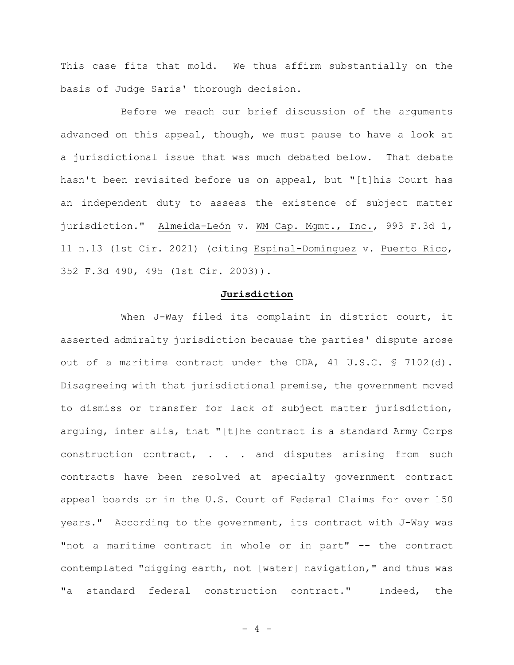This case fits that mold. We thus affirm substantially on the basis of Judge Saris' thorough decision.

Before we reach our brief discussion of the arguments advanced on this appeal, though, we must pause to have a look at a jurisdictional issue that was much debated below. That debate hasn't been revisited before us on appeal, but "[t]his Court has an independent duty to assess the existence of subject matter jurisdiction." Almeida-León v. WM Cap. Mgmt., Inc., 993 F.3d 1, 11 n.13 (1st Cir. 2021) (citing Espinal-Domínguez v. Puerto Rico, 352 F.3d 490, 495 (1st Cir. 2003)).

#### **Jurisdiction**

When J-Way filed its complaint in district court, it asserted admiralty jurisdiction because the parties' dispute arose out of a maritime contract under the CDA, 41 U.S.C. § 7102(d). Disagreeing with that jurisdictional premise, the government moved to dismiss or transfer for lack of subject matter jurisdiction, arguing, inter alia, that "[t]he contract is a standard Army Corps construction contract, . . . and disputes arising from such contracts have been resolved at specialty government contract appeal boards or in the U.S. Court of Federal Claims for over 150 years." According to the government, its contract with J-Way was "not a maritime contract in whole or in part" -- the contract contemplated "digging earth, not [water] navigation," and thus was "a standard federal construction contract." Indeed, the

 $- 4 -$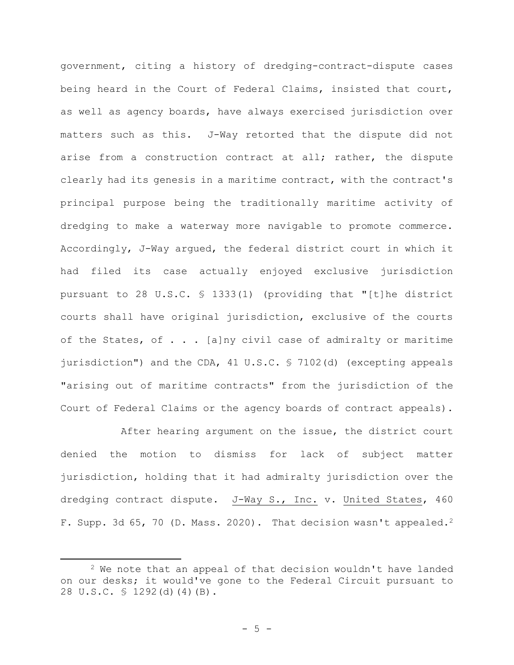government, citing a history of dredging-contract-dispute cases being heard in the Court of Federal Claims, insisted that court, as well as agency boards, have always exercised jurisdiction over matters such as this. J-Way retorted that the dispute did not arise from a construction contract at all; rather, the dispute clearly had its genesis in a maritime contract, with the contract's principal purpose being the traditionally maritime activity of dredging to make a waterway more navigable to promote commerce. Accordingly, J-Way argued, the federal district court in which it had filed its case actually enjoyed exclusive jurisdiction pursuant to 28 U.S.C. § 1333(1) (providing that "[t]he district courts shall have original jurisdiction, exclusive of the courts of the States, of . . . [a]ny civil case of admiralty or maritime jurisdiction") and the CDA, 41 U.S.C. § 7102(d) (excepting appeals "arising out of maritime contracts" from the jurisdiction of the Court of Federal Claims or the agency boards of contract appeals).

After hearing argument on the issue, the district court denied the motion to dismiss for lack of subject matter jurisdiction, holding that it had admiralty jurisdiction over the dredging contract dispute. J-Way S., Inc. v. United States, 460 F. Supp. 3d 65, 70 (D. Mass. 2020). That decision wasn't appealed.<sup>2</sup>

<sup>&</sup>lt;sup>2</sup> We note that an appeal of that decision wouldn't have landed on our desks; it would've gone to the Federal Circuit pursuant to 28 U.S.C. § 1292(d)(4)(B).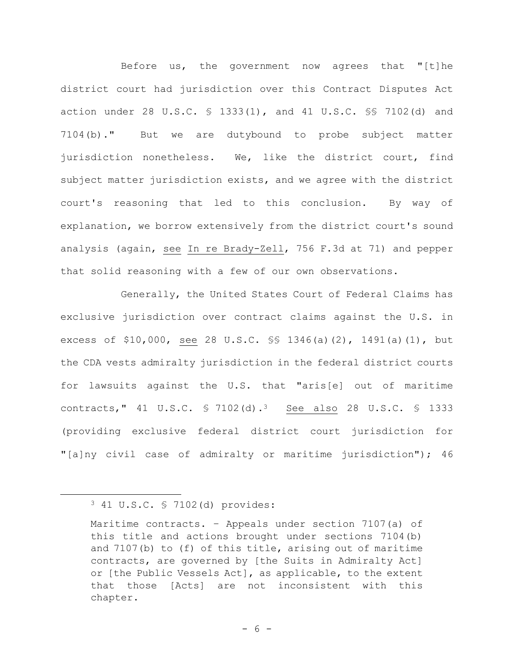Before us, the government now agrees that "[t]he district court had jurisdiction over this Contract Disputes Act action under 28 U.S.C. § 1333(1), and 41 U.S.C. §§ 7102(d) and 7104(b)." But we are dutybound to probe subject matter jurisdiction nonetheless. We, like the district court, find subject matter jurisdiction exists, and we agree with the district court's reasoning that led to this conclusion. By way of explanation, we borrow extensively from the district court's sound analysis (again, see In re Brady-Zell, 756 F.3d at 71) and pepper that solid reasoning with a few of our own observations.

Generally, the United States Court of Federal Claims has exclusive jurisdiction over contract claims against the U.S. in excess of \$10,000, see 28 U.S.C. §§ 1346(a)(2), 1491(a)(1), but the CDA vests admiralty jurisdiction in the federal district courts for lawsuits against the U.S. that "aris[e] out of maritime contracts," 41 U.S.C. § 7102(d).<sup>3</sup> See also 28 U.S.C. § 1333 (providing exclusive federal district court jurisdiction for "[a]ny civil case of admiralty or maritime jurisdiction"); 46

<sup>3</sup> 41 U.S.C. § 7102(d) provides:

Maritime contracts. – Appeals under section 7107(a) of this title and actions brought under sections 7104(b) and 7107(b) to (f) of this title, arising out of maritime contracts, are governed by [the Suits in Admiralty Act] or [the Public Vessels Act], as applicable, to the extent that those [Acts] are not inconsistent with this chapter.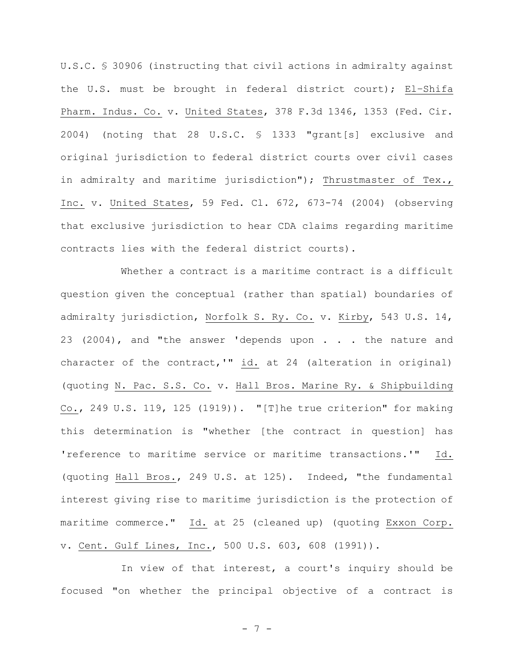U.S.C. § 30906 (instructing that civil actions in admiralty against the U.S. must be brought in federal district court); El–Shifa Pharm. Indus. Co. v. United States, 378 F.3d 1346, 1353 (Fed. Cir. 2004) (noting that 28 U.S.C. § 1333 "grant[s] exclusive and original jurisdiction to federal district courts over civil cases in admiralty and maritime jurisdiction"); Thrustmaster of Tex., Inc. v. United States, 59 Fed. Cl. 672, 673-74 (2004) (observing that exclusive jurisdiction to hear CDA claims regarding maritime contracts lies with the federal district courts).

Whether a contract is a maritime contract is a difficult question given the conceptual (rather than spatial) boundaries of admiralty jurisdiction, Norfolk S. Ry. Co. v. Kirby, 543 U.S. 14, 23 (2004), and "the answer 'depends upon . . . the nature and character of the contract,'"  $\underline{\text{id.}}$  at 24 (alteration in original) (quoting N. Pac. S.S. Co. v. Hall Bros. Marine Ry. & Shipbuilding Co., 249 U.S. 119, 125 (1919)). "[T]he true criterion" for making this determination is "whether [the contract in question] has 'reference to maritime service or maritime transactions.'" Id. (quoting Hall Bros., 249 U.S. at 125). Indeed, "the fundamental interest giving rise to maritime jurisdiction is the protection of maritime commerce." Id. at 25 (cleaned up) (quoting Exxon Corp. v. Cent. Gulf Lines, Inc., 500 U.S. 603, 608 (1991)).

In view of that interest, a court's inquiry should be focused "on whether the principal objective of a contract is

- 7 -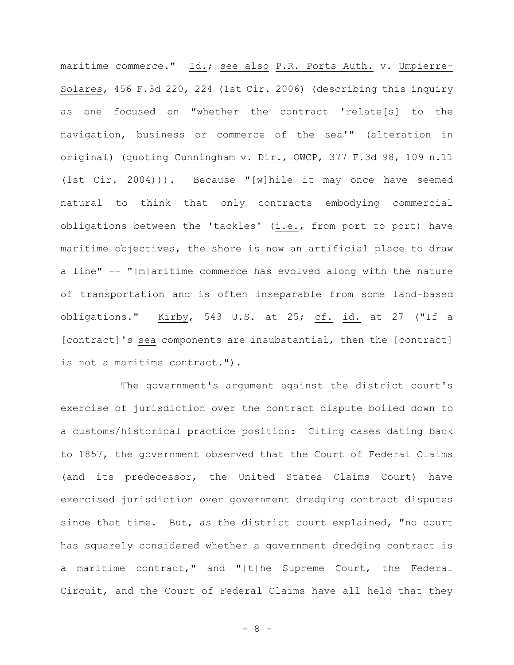maritime commerce." Id.; see also P.R. Ports Auth. v. Umpierre-Solares, 456 F.3d 220, 224 (1st Cir. 2006) (describing this inquiry as one focused on "whether the contract 'relate[s] to the navigation, business or commerce of the sea'" (alteration in original) (quoting Cunningham v. Dir., OWCP, 377 F.3d 98, 109 n.11 (1st Cir. 2004))). Because "[w]hile it may once have seemed natural to think that only contracts embodying commercial obligations between the 'tackles' (i.e., from port to port) have maritime objectives, the shore is now an artificial place to draw a line" -- "[m]aritime commerce has evolved along with the nature of transportation and is often inseparable from some land-based obligations." Kirby, 543 U.S. at 25; cf. id. at 27 ("If a [contract]'s sea components are insubstantial, then the [contract] is not a maritime contract.").

The government's argument against the district court's exercise of jurisdiction over the contract dispute boiled down to a customs/historical practice position: Citing cases dating back to 1857, the government observed that the Court of Federal Claims (and its predecessor, the United States Claims Court) have exercised jurisdiction over government dredging contract disputes since that time. But, as the district court explained, "no court has squarely considered whether a government dredging contract is a maritime contract," and "[t]he Supreme Court, the Federal Circuit, and the Court of Federal Claims have all held that they

- 8 -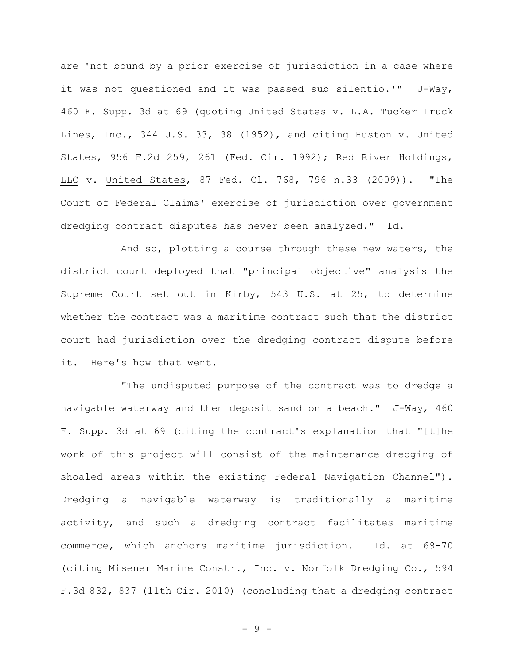are 'not bound by a prior exercise of jurisdiction in a case where it was not questioned and it was passed sub silentio.'" J-Way, 460 F. Supp. 3d at 69 (quoting United States v. L.A. Tucker Truck Lines, Inc., 344 U.S. 33, 38 (1952), and citing Huston v. United States, 956 F.2d 259, 261 (Fed. Cir. 1992); Red River Holdings, LLC v. United States, 87 Fed. Cl. 768, 796 n.33 (2009)). "The Court of Federal Claims' exercise of jurisdiction over government dredging contract disputes has never been analyzed." Id.

And so, plotting a course through these new waters, the district court deployed that "principal objective" analysis the Supreme Court set out in Kirby, 543 U.S. at 25, to determine whether the contract was a maritime contract such that the district court had jurisdiction over the dredging contract dispute before it. Here's how that went.

"The undisputed purpose of the contract was to dredge a navigable waterway and then deposit sand on a beach." J-Way, 460 F. Supp. 3d at 69 (citing the contract's explanation that "[t]he work of this project will consist of the maintenance dredging of shoaled areas within the existing Federal Navigation Channel"). Dredging a navigable waterway is traditionally a maritime activity, and such a dredging contract facilitates maritime commerce, which anchors maritime jurisdiction. Id. at 69-70 (citing Misener Marine Constr., Inc. v. Norfolk Dredging Co., 594 F.3d 832, 837 (11th Cir. 2010) (concluding that a dredging contract

- 9 -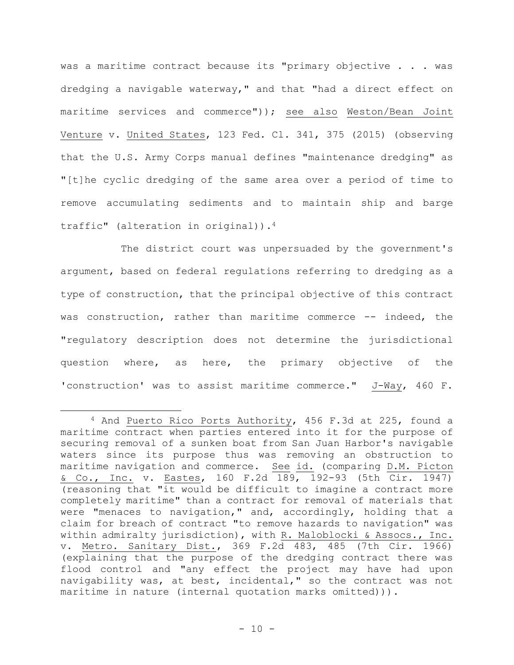was a maritime contract because its "primary objective . . . was dredging a navigable waterway," and that "had a direct effect on maritime services and commerce")); see also Weston/Bean Joint Venture v. United States, 123 Fed. Cl. 341, 375 (2015) (observing that the U.S. Army Corps manual defines "maintenance dredging" as "[t]he cyclic dredging of the same area over a period of time to remove accumulating sediments and to maintain ship and barge traffic" (alteration in original)).<sup>4</sup>

The district court was unpersuaded by the government's argument, based on federal regulations referring to dredging as a type of construction, that the principal objective of this contract was construction, rather than maritime commerce -- indeed, the "regulatory description does not determine the jurisdictional question where, as here, the primary objective of the 'construction' was to assist maritime commerce." J-Way, 460 F.

<sup>4</sup> And Puerto Rico Ports Authority, 456 F.3d at 225, found a maritime contract when parties entered into it for the purpose of securing removal of a sunken boat from San Juan Harbor's navigable waters since its purpose thus was removing an obstruction to maritime navigation and commerce. See id. (comparing D.M. Picton & Co., Inc. v. Eastes, 160 F.2d 189, 192-93 (5th Cir. 1947) (reasoning that "it would be difficult to imagine a contract more completely maritime" than a contract for removal of materials that were "menaces to navigation," and, accordingly, holding that a claim for breach of contract "to remove hazards to navigation" was within admiralty jurisdiction), with R. Maloblocki & Assocs., Inc. v. Metro. Sanitary Dist., 369 F.2d 483, 485 (7th Cir. 1966) (explaining that the purpose of the dredging contract there was flood control and "any effect the project may have had upon navigability was, at best, incidental," so the contract was not maritime in nature (internal quotation marks omitted))).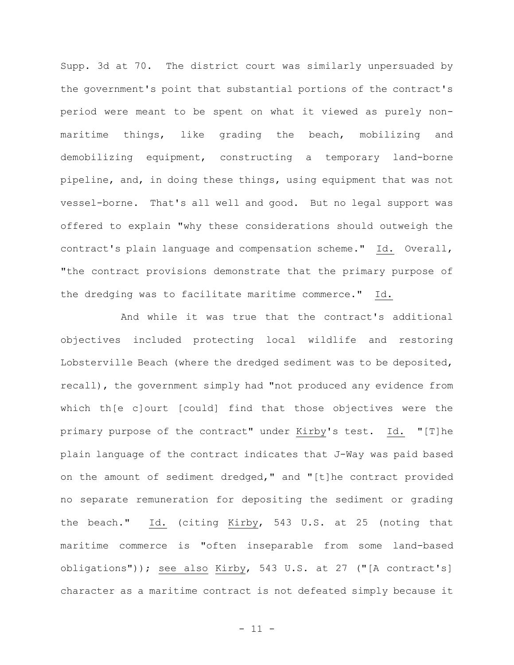Supp. 3d at 70. The district court was similarly unpersuaded by the government's point that substantial portions of the contract's period were meant to be spent on what it viewed as purely nonmaritime things, like grading the beach, mobilizing and demobilizing equipment, constructing a temporary land-borne pipeline, and, in doing these things, using equipment that was not vessel-borne. That's all well and good. But no legal support was offered to explain "why these considerations should outweigh the contract's plain language and compensation scheme." Id. Overall, "the contract provisions demonstrate that the primary purpose of the dredging was to facilitate maritime commerce." Id.

And while it was true that the contract's additional objectives included protecting local wildlife and restoring Lobsterville Beach (where the dredged sediment was to be deposited, recall), the government simply had "not produced any evidence from which th[e c]ourt [could] find that those objectives were the primary purpose of the contract" under Kirby's test. Id. "[T]he plain language of the contract indicates that J-Way was paid based on the amount of sediment dredged," and "[t]he contract provided no separate remuneration for depositing the sediment or grading the beach." Id. (citing Kirby, 543 U.S. at 25 (noting that maritime commerce is "often inseparable from some land-based obligations")); see also Kirby, 543 U.S. at 27 ("[A contract's] character as a maritime contract is not defeated simply because it

 $- 11 -$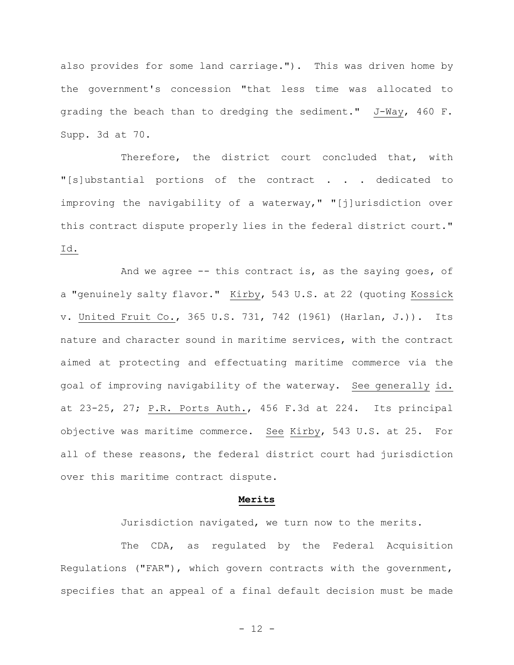also provides for some land carriage."). This was driven home by the government's concession "that less time was allocated to grading the beach than to dredging the sediment." J-Way, 460 F. Supp. 3d at 70.

Therefore, the district court concluded that, with "[s]ubstantial portions of the contract . . . dedicated to improving the navigability of a waterway," "[j]urisdiction over this contract dispute properly lies in the federal district court." Id.

And we agree -- this contract is, as the saying goes, of a "genuinely salty flavor." Kirby, 543 U.S. at 22 (quoting Kossick v. United Fruit Co., 365 U.S. 731, 742 (1961) (Harlan, J.)). Its nature and character sound in maritime services, with the contract aimed at protecting and effectuating maritime commerce via the goal of improving navigability of the waterway. See generally id. at 23-25, 27; P.R. Ports Auth., 456 F.3d at 224. Its principal objective was maritime commerce. See Kirby, 543 U.S. at 25. For all of these reasons, the federal district court had jurisdiction over this maritime contract dispute.

#### **Merits**

Jurisdiction navigated, we turn now to the merits.

The CDA, as regulated by the Federal Acquisition Regulations ("FAR"), which govern contracts with the government, specifies that an appeal of a final default decision must be made

- 12 -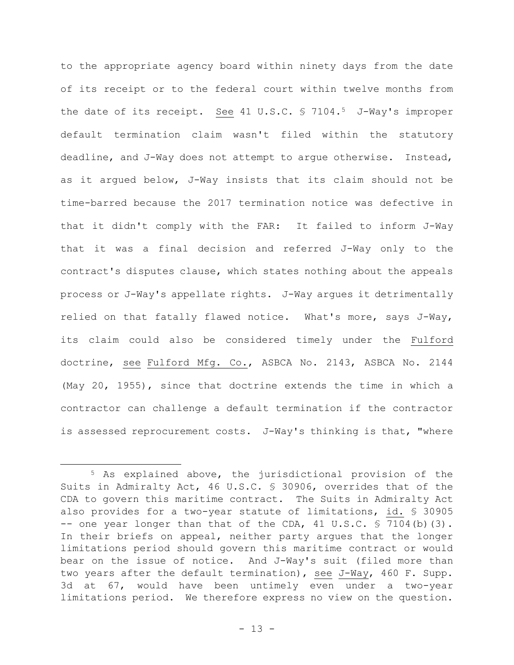to the appropriate agency board within ninety days from the date of its receipt or to the federal court within twelve months from the date of its receipt. See 41 U.S.C. § 7104.<sup>5</sup> J-Way's improper default termination claim wasn't filed within the statutory deadline, and J-Way does not attempt to argue otherwise. Instead, as it argued below, J-Way insists that its claim should not be time-barred because the 2017 termination notice was defective in that it didn't comply with the FAR: It failed to inform J-Way that it was a final decision and referred J-Way only to the contract's disputes clause, which states nothing about the appeals process or J-Way's appellate rights. J-Way argues it detrimentally relied on that fatally flawed notice. What's more, says J-Way, its claim could also be considered timely under the Fulford doctrine, see Fulford Mfg. Co., ASBCA No. 2143, ASBCA No. 2144 (May 20, 1955), since that doctrine extends the time in which a contractor can challenge a default termination if the contractor is assessed reprocurement costs. J-Way's thinking is that, "where

<sup>5</sup> As explained above, the jurisdictional provision of the Suits in Admiralty Act, 46 U.S.C. § 30906, overrides that of the CDA to govern this maritime contract. The Suits in Admiralty Act also provides for a two-year statute of limitations, id. § 30905 -- one year longer than that of the CDA,  $41 \text{ U.S.C. }$  \$ 7104(b)(3). In their briefs on appeal, neither party argues that the longer limitations period should govern this maritime contract or would bear on the issue of notice. And J-Way's suit (filed more than two years after the default termination), see J-Way, 460 F. Supp. 3d at 67, would have been untimely even under a two-year limitations period. We therefore express no view on the question.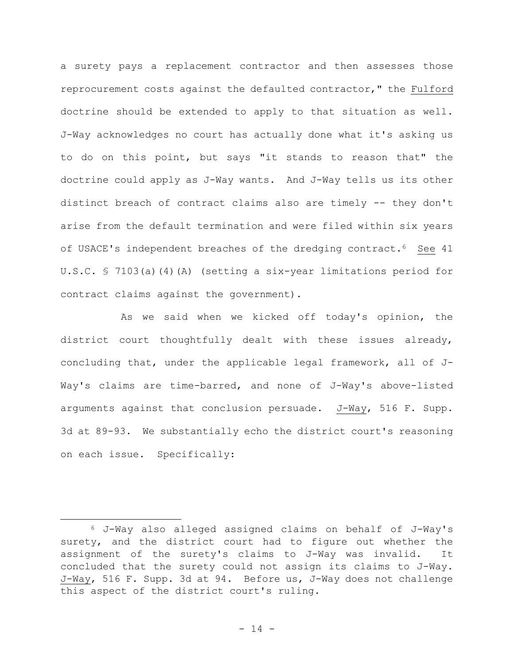a surety pays a replacement contractor and then assesses those reprocurement costs against the defaulted contractor," the Fulford doctrine should be extended to apply to that situation as well. J-Way acknowledges no court has actually done what it's asking us to do on this point, but says "it stands to reason that" the doctrine could apply as J-Way wants. And J-Way tells us its other distinct breach of contract claims also are timely -- they don't arise from the default termination and were filed within six years of USACE's independent breaches of the dredging contract.<sup>6</sup> See 41 U.S.C. § 7103(a)(4)(A) (setting a six-year limitations period for contract claims against the government).

As we said when we kicked off today's opinion, the district court thoughtfully dealt with these issues already, concluding that, under the applicable legal framework, all of J-Way's claims are time-barred, and none of J-Way's above-listed arguments against that conclusion persuade. J-Way, 516 F. Supp. 3d at 89-93. We substantially echo the district court's reasoning on each issue. Specifically:

<sup>6</sup> J-Way also alleged assigned claims on behalf of J-Way's surety, and the district court had to figure out whether the assignment of the surety's claims to J-Way was invalid. It concluded that the surety could not assign its claims to J-Way. J-Way, 516 F. Supp. 3d at 94. Before us, J-Way does not challenge this aspect of the district court's ruling.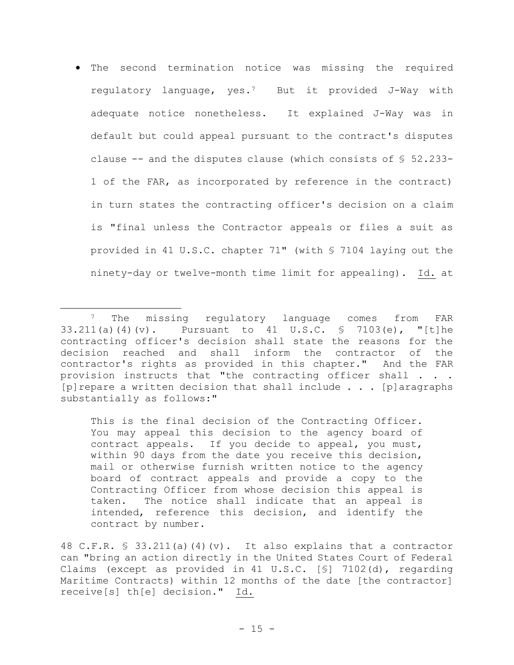• The second termination notice was missing the required regulatory language, yes.7 But it provided J-Way with adequate notice nonetheless. It explained J-Way was in default but could appeal pursuant to the contract's disputes clause  $-$ - and the disputes clause (which consists of  $\S$  52.233-1 of the FAR, as incorporated by reference in the contract) in turn states the contracting officer's decision on a claim is "final unless the Contractor appeals or files a suit as provided in 41 U.S.C. chapter 71" (with § 7104 laying out the ninety-day or twelve-month time limit for appealing). Id. at

This is the final decision of the Contracting Officer. You may appeal this decision to the agency board of contract appeals. If you decide to appeal, you must, within 90 days from the date you receive this decision, mail or otherwise furnish written notice to the agency board of contract appeals and provide a copy to the Contracting Officer from whose decision this appeal is taken. The notice shall indicate that an appeal is intended, reference this decision, and identify the contract by number.

<sup>&</sup>lt;sup>7</sup> The missing regulatory language comes from FAR 33.211(a)(4)(v). Pursuant to 41 U.S.C. § 7103(e), "[t]he contracting officer's decision shall state the reasons for the decision reached and shall inform the contractor of the contractor's rights as provided in this chapter." And the FAR provision instructs that "the contracting officer shall . . . [p]repare a written decision that shall include . . . [p]aragraphs substantially as follows:"

<sup>48</sup> C.F.R. § 33.211(a)(4)(v). It also explains that a contractor can "bring an action directly in the United States Court of Federal Claims (except as provided in 41 U.S.C. [§] 7102(d), regarding Maritime Contracts) within 12 months of the date [the contractor] receive[s] th[e] decision." Id.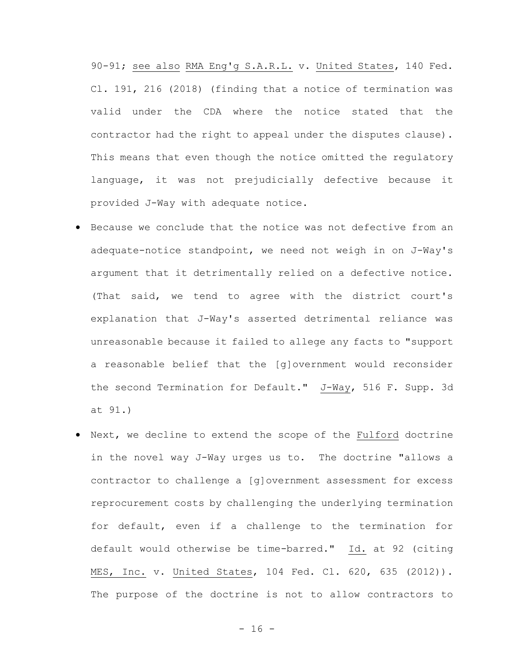90-91; see also RMA Eng'g S.A.R.L. v. United States, 140 Fed. Cl. 191, 216 (2018) (finding that a notice of termination was valid under the CDA where the notice stated that the contractor had the right to appeal under the disputes clause). This means that even though the notice omitted the regulatory language, it was not prejudicially defective because it provided J-Way with adequate notice.

- Because we conclude that the notice was not defective from an adequate-notice standpoint, we need not weigh in on J-Way's argument that it detrimentally relied on a defective notice. (That said, we tend to agree with the district court's explanation that J-Way's asserted detrimental reliance was unreasonable because it failed to allege any facts to "support a reasonable belief that the [g]overnment would reconsider the second Termination for Default." J-Way, 516 F. Supp. 3d at 91.)
- Next, we decline to extend the scope of the Fulford doctrine in the novel way J-Way urges us to. The doctrine "allows a contractor to challenge a [g]overnment assessment for excess reprocurement costs by challenging the underlying termination for default, even if a challenge to the termination for default would otherwise be time-barred." Id. at 92 (citing MES, Inc. v. United States, 104 Fed. Cl. 620, 635 (2012)). The purpose of the doctrine is not to allow contractors to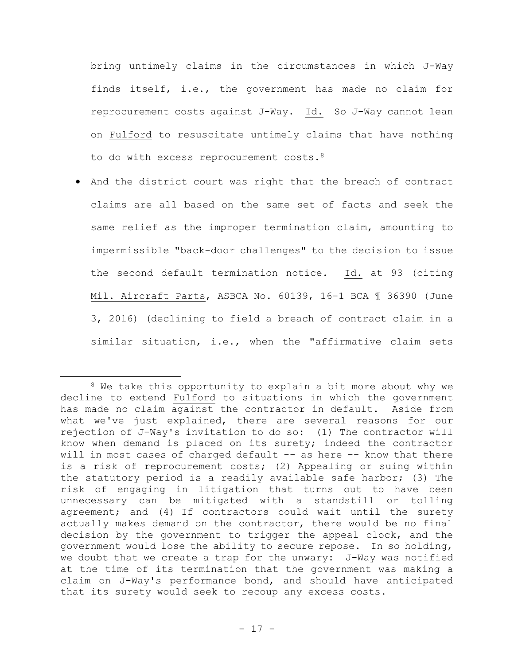bring untimely claims in the circumstances in which J-Way finds itself, i.e., the government has made no claim for reprocurement costs against J-Way. Id. So J-Way cannot lean on Fulford to resuscitate untimely claims that have nothing to do with excess reprocurement costs. 8

• And the district court was right that the breach of contract claims are all based on the same set of facts and seek the same relief as the improper termination claim, amounting to impermissible "back-door challenges" to the decision to issue the second default termination notice. Id. at 93 (citing Mil. Aircraft Parts, ASBCA No. 60139, 16-1 BCA ¶ 36390 (June 3, 2016) (declining to field a breach of contract claim in a similar situation, i.e., when the "affirmative claim sets

<sup>&</sup>lt;sup>8</sup> We take this opportunity to explain a bit more about why we decline to extend Fulford to situations in which the government has made no claim against the contractor in default. Aside from what we've just explained, there are several reasons for our rejection of J-Way's invitation to do so: (1) The contractor will know when demand is placed on its surety; indeed the contractor will in most cases of charged default -- as here -- know that there is a risk of reprocurement costs; (2) Appealing or suing within the statutory period is a readily available safe harbor; (3) The risk of engaging in litigation that turns out to have been unnecessary can be mitigated with a standstill or tolling agreement; and (4) If contractors could wait until the surety actually makes demand on the contractor, there would be no final decision by the government to trigger the appeal clock, and the government would lose the ability to secure repose. In so holding, we doubt that we create a trap for the unwary: J-Way was notified at the time of its termination that the government was making a claim on J-Way's performance bond, and should have anticipated that its surety would seek to recoup any excess costs.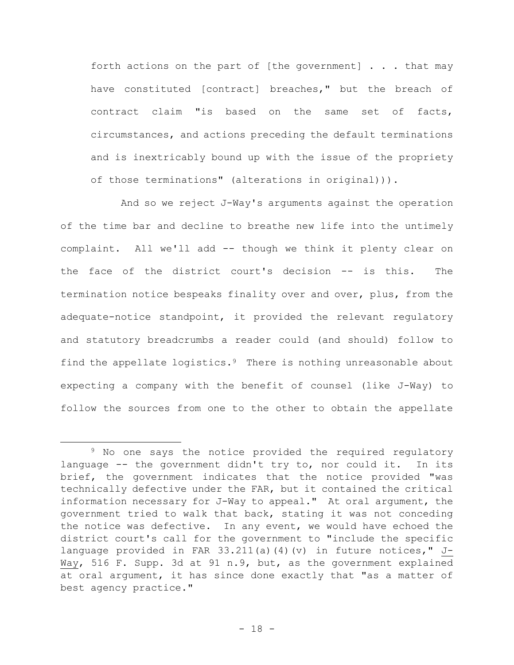forth actions on the part of [the government]  $\ldots$  that may have constituted [contract] breaches," but the breach of contract claim "is based on the same set of facts, circumstances, and actions preceding the default terminations and is inextricably bound up with the issue of the propriety of those terminations" (alterations in original))).

And so we reject J-Way's arguments against the operation of the time bar and decline to breathe new life into the untimely complaint. All we'll add -- though we think it plenty clear on the face of the district court's decision -- is this. The termination notice bespeaks finality over and over, plus, from the adequate-notice standpoint, it provided the relevant regulatory and statutory breadcrumbs a reader could (and should) follow to find the appellate logistics.9 There is nothing unreasonable about expecting a company with the benefit of counsel (like J-Way) to follow the sources from one to the other to obtain the appellate

<sup>&</sup>lt;sup>9</sup> No one says the notice provided the required regulatory language -- the government didn't try to, nor could it. In its brief, the government indicates that the notice provided "was technically defective under the FAR, but it contained the critical information necessary for J-Way to appeal." At oral argument, the government tried to walk that back, stating it was not conceding the notice was defective. In any event, we would have echoed the district court's call for the government to "include the specific language provided in FAR 33.211(a)(4)(v) in future notices," J-Way, 516 F. Supp. 3d at 91 n.9, but, as the government explained at oral argument, it has since done exactly that "as a matter of best agency practice."